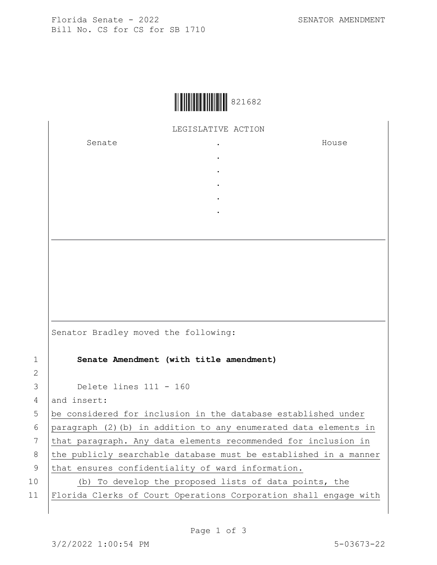

LEGISLATIVE ACTION

. . . . .

Senate .

House

|             | Senator Bradley moved the following:                             |
|-------------|------------------------------------------------------------------|
| $\mathbf 1$ | Senate Amendment (with title amendment)                          |
| 2           |                                                                  |
| 3           | Delete lines $111 - 160$                                         |
| 4           | and insert:                                                      |
| 5           | be considered for inclusion in the database established under    |
| 6           | paragraph (2) (b) in addition to any enumerated data elements in |
| 7           | that paragraph. Any data elements recommended for inclusion in   |
| 8           | the publicly searchable database must be established in a manner |
| 9           | that ensures confidentiality of ward information.                |
| 10          | (b) To develop the proposed lists of data points, the            |
| 11          | Florida Clerks of Court Operations Corporation shall engage with |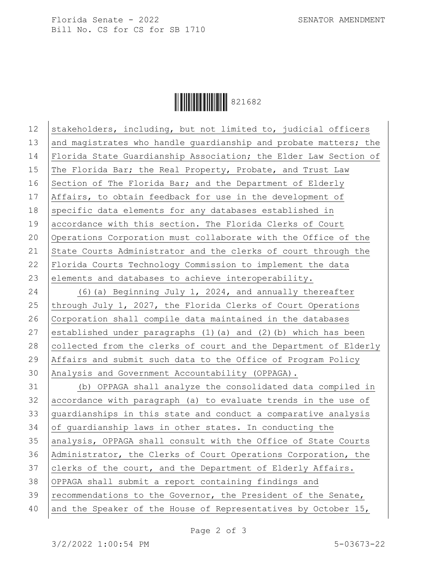Florida Senate - 2022 SENATOR AMENDMENT Bill No. CS for CS for SB 1710



12 stakeholders, including, but not limited to, judicial officers 13 and magistrates who handle quardianship and probate matters; the 14 Florida State Guardianship Association; the Elder Law Section of 15 The Florida Bar; the Real Property, Probate, and Trust Law 16 Section of The Florida Bar; and the Department of Elderly 17 | Affairs, to obtain feedback for use in the development of 18 specific data elements for any databases established in 19 accordance with this section. The Florida Clerks of Court 20 Operations Corporation must collaborate with the Office of the 21 State Courts Administrator and the clerks of court through the 22 Florida Courts Technology Commission to implement the data 23 elements and databases to achieve interoperability. 24  $(6)$  (a) Beginning July 1, 2024, and annually thereafter 25 through July 1, 2027, the Florida Clerks of Court Operations 26 Corporation shall compile data maintained in the databases 27 established under paragraphs  $(1)$  (a) and  $(2)$  (b) which has been 28 collected from the clerks of court and the Department of Elderly 29 Affairs and submit such data to the Office of Program Policy 30 Analysis and Government Accountability (OPPAGA). 31 (b) OPPAGA shall analyze the consolidated data compiled in  $32$  accordance with paragraph (a) to evaluate trends in the use of 33 guardianships in this state and conduct a comparative analysis  $34$  of guardianship laws in other states. In conducting the 35 analysis, OPPAGA shall consult with the Office of State Courts 36 Administrator, the Clerks of Court Operations Corporation, the 37 clerks of the court, and the Department of Elderly Affairs. 38 OPPAGA shall submit a report containing findings and  $39$  recommendations to the Governor, the President of the Senate, 40 and the Speaker of the House of Representatives by October 15,

Page 2 of 3